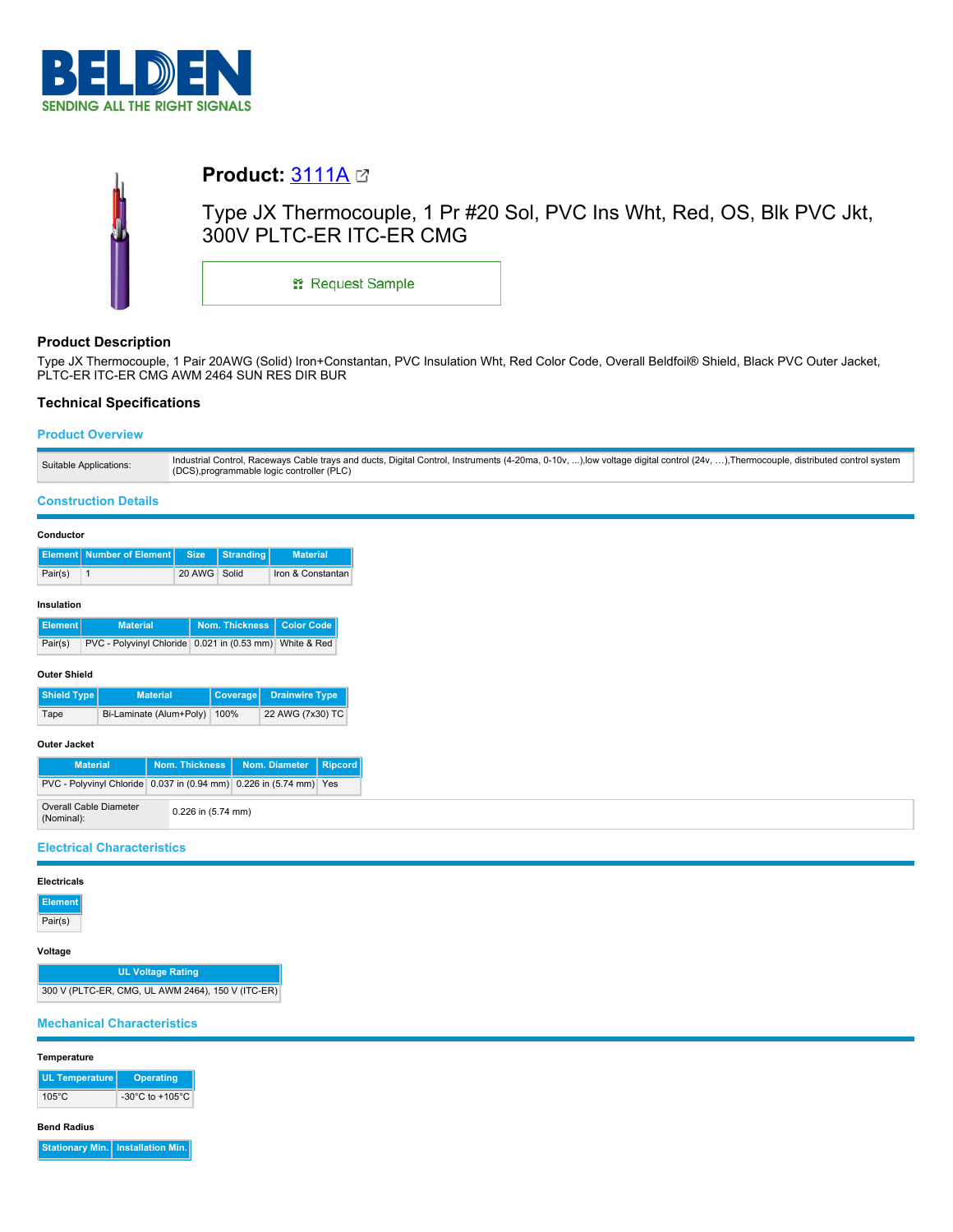

# **Product:** [3111A](https://catalog.belden.com/index.cfm?event=pd&p=PF_3111A&tab=downloads) Type JX Thermocouple, 1 Pr #20 Sol, PVC Ins Wht, Red, OS, Blk PVC Jkt, 300V PLTC-ER ITC-ER CMG \*\* Request Sample

# **Product Description**

Type JX Thermocouple, 1 Pair 20AWG (Solid) Iron+Constantan, PVC Insulation Wht, Red Color Code, Overall Beldfoil® Shield, Black PVC Outer Jacket, PLTC-ER ITC-ER CMG AWM 2464 SUN RES DIR BUR

# **Technical Specifications**

## **Product Overview**

## **Construction Details**

## **Conductor**

|         | <b>Element Number of Element Size Stranding</b> |              | <b>Material</b>   |
|---------|-------------------------------------------------|--------------|-------------------|
| Pair(s) |                                                 | 20 AWG Solid | Iron & Constantan |

## **Insulation**

| Element | <b>Material</b>                                             | Nom. Thickness   Color Code |  |
|---------|-------------------------------------------------------------|-----------------------------|--|
| Pair(s) | PVC - Polyvinyl Chloride   0.021 in (0.53 mm)   White & Red |                             |  |

#### **Outer Shield**

| Shield Type | <b>Material</b>              | Coverage Drainwire Type |
|-------------|------------------------------|-------------------------|
| Tape        | Bi-Laminate (Alum+Poly) 100% | 22 AWG (7x30) TC        |

## **Outer Jacket**

| <b>Material</b>                                                          |  |                    | Nom. Thickness   Nom. Diameter   Ripcord |  |
|--------------------------------------------------------------------------|--|--------------------|------------------------------------------|--|
| PVC - Polyvinyl Chloride   0.037 in (0.94 mm)   0.226 in (5.74 mm)   Yes |  |                    |                                          |  |
| Overall Cable Diameter<br>(Nominal):                                     |  | 0.226 in (5.74 mm) |                                          |  |

## **Electrical Characteristics**

#### **Electricals**

**Element**

Pair(s)

### **Voltage**

**UL Voltage Rating** 300 V (PLTC-ER, CMG, UL AWM 2464), 150 V (ITC-ER)

# **Mechanical Characteristics**

#### **Temperature**

| <b>UL Temperature</b> | <b>Operating</b>                      |
|-----------------------|---------------------------------------|
| $105^{\circ}$ C       | -30 $^{\circ}$ C to +105 $^{\circ}$ C |

#### **Bend Radius**

**Stationary Min. Installation Min.**